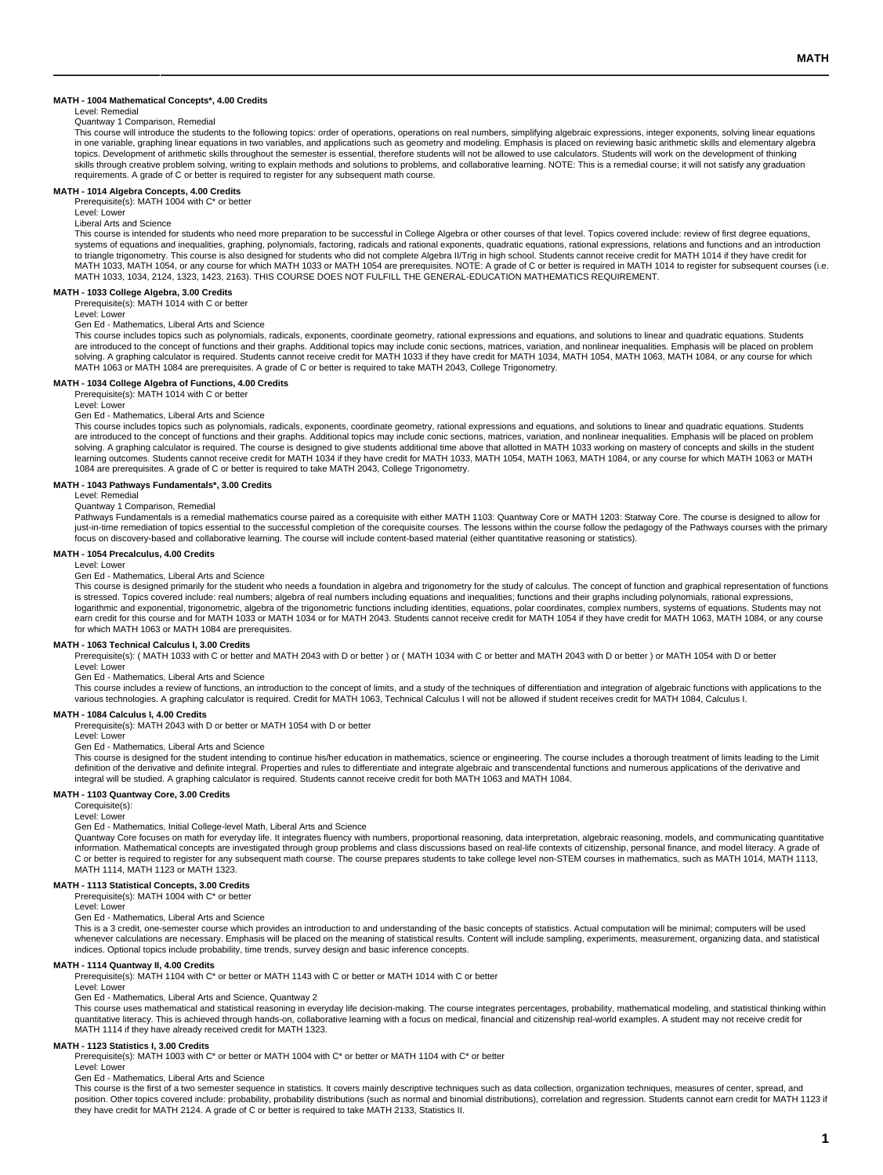#### **MATH - 1004 Mathematical Concepts\*, 4.00 Credits**

## Level: Remedial

Quantway 1 Comparison, Remedial

This course will introduce the students to the following topics: order of operations, operations on real numbers, simplifying algebraic expressions, integer exponents, solving linear equations in one variable, graphing linear equations in two variables, and applications such as geometry and modeling. Emphasis is placed on reviewing basic arithmetic skills and elementary algebra<br>topics. Development of arithmetic skills through creative problem solving, writing to explain methods and solutions to problems, and collaborative learning. NOTE: This is a remedial course; it will not satisfy any graduation requirements. A grade of C or better is required to register for any subsequent math course.

# **MATH - 1014 Algebra Concepts, 4.00 Credits** Prerequisite(s): MATH 1004 with C\* or better

Level: Lower

Liberal Arts and Science

This course is intended for students who need more preparation to be successful in College Algebra or other courses of that level. Topics covered include: review of first degree equations, systems of equations and inequalities, graphing, polynomials, factoring, radicals and rational exponents, quadratic equations, rational expressions, relations and functions and an introduction<br>to triangle trigonometry. Thi MATH 1033, MATH 1054, or any course for which MATH 1033 or MATH 1054 are prerequisites. NOTE: A grade of C or better is required in MATH 1014 to register for subsequent courses (i.e. MATH 1033, 1034, 2124, 1323, 1423, 2163). THIS COURSE DOES NOT FULFILL THE GENERAL-EDUCATION MATHEMATICS REQUIREMENT.

#### **MATH - 1033 College Algebra, 3.00 Credits**

Prerequisite(s): MATH 1014 with C or better

Level: Lower

Gen Ed - Mathematics, Liberal Arts and Science

This course includes topics such as polynomials, radicals, exponents, coordinate geometry, rational expressions and equations, and solutions to linear and quadratic equations. Students are introduced to the concept of functions and their graphs. Additional topics may include conic sections, matrices, variation, and nonlinear inequalities. Emphasis will be placed on problem solving. A graphing calculator is required. Students cannot receive credit for MATH 1033 if they have credit for MATH 1034, MATH 1054, MATH 1063, MATH 1084, or any course for which MATH 1063 or MATH 1084 are prerequisites. A grade of C or better is required to take MATH 2043, College Trigonometry.

## **MATH - 1034 College Algebra of Functions, 4.00 Credits**

Prerequisite(s): MATH 1014 with C or better

Level: Lower

#### Gen Ed - Mathematics, Liberal Arts and Science

This course includes topics such as polynomials, radicals, exponents, coordinate geometry, rational expressions and equations, and solutions to linear and quadratic equations. Students are introduced to the concept of functions and their graphs. Additional topics may include conic sections, matrices, variation, and nonlinear inequalities. Emphasis will be placed on problem<br>solving. A graphing calculator learning outcomes. Students cannot receive credit for MATH 1034 if they have credit for MATH 1033, MATH 1054, MATH 1063, MATH 1084, or any course for which MATH 1063 or MATH 1084 are prerequisites. A grade of C or better is required to take MATH 2043, College Trigonometry.

### **MATH - 1043 Pathways Fundamentals\*, 3.00 Credits**

Level: Remedial

## Quantway 1 Comparison, Remedial

Pathways Fundamentals is a remedial mathematics course paired as a corequisite with either MATH 1103: Quantway Core or MATH 1203: Statway Core. The course is designed to allow for just-in-time remediation of topics essential to the successful completion of the corequisite courses. The lessons within the course follow the pedagogy of the Pathways courses with the primary focus on discovery-based and collaborative learning. The course will include content-based material (either quantitative reasoning or statistics).

#### **MATH - 1054 Precalculus, 4.00 Credits**

Level: Lower

Gen Ed - Mathematics, Liberal Arts and Science

This course is designed primarily for the student who needs a foundation in algebra and trigonometry for the study of calculus. The concept of function and graphical representation of functions is stressed. Topics covered include: real numbers; algebra of real numbers including equations and inequalities; functions and their graphs including polynomials, rational expressions,<br>logarithmic and exponential, trigonom earn credit for this course and for MATH 1033 or MATH 1034 or for MATH 2043. Students cannot receive credit for MATH 1054 if they have credit for MATH 1063, MATH 1084, or any course for which MATH 1063 or MATH 1084 are prerequisites.

MATH - 1063 Technical Calculus I, 3.00 Credits<br>Prerequisite(s): ( MATH 1033 with C or better and MATH 2043 with D or better ) or ( MATH 1034 with C or better and MATH 2043 with Dor better and MATH 1034 with C or better and

Level: Lower

### Gen Ed - Mathematics, Liberal Arts and Science

This course includes a review of functions, an introduction to the concept of limits, and a study of the techniques of differentiation and integration of algebraic functions with applications to the various technologies. A graphing calculator is required. Credit for MATH 1063, Technical Calculus I will not be allowed if student receives credit for MATH 1084, Calculus I.

#### **MATH - 1084 Calculus I, 4.00 Credits**

Prerequisite(s): MATH 2043 with D or better or MATH 1054 with D or better

#### Level: Lower

Gen Ed - Mathematics, Liberal Arts and Science

This course is designed for the student intending to continue his/her education in mathematics, science or engineering. The course includes a thorough treatment of limits leading to the Limit<br>definition of the derivative a integral will be studied. A graphing calculator is required. Students cannot receive credit for both MATH 1063 and MATH 1084.

## **MATH - 1103 Quantway Core, 3.00 Credits**

Corequisite(s):

Level: Lower

Gen Ed - Mathematics, Initial College-level Math, Liberal Arts and Science

Quantway Core focuses on math for everyday life. It integrates fluency with numbers, proportional reasoning, data interpretation, algebraic reasoning, models, and communicating quantitative information. Mathematical concepts are investigated through group problems and class discussions based on real-life contexts of citizenship, personal finance, and model literacy. A grade of C or better is required to register for any subsequent math course. The course prepares students to take college level non-STEM courses in mathematics, such as MATH 1014, MATH 1113, MATH 1114, MATH 1123 or MATH 1323.

#### **MATH - 1113 Statistical Concepts, 3.00 Credits** Prerequisite(s): MATH 1004 with C\* or better

Level: Lower

Gen Ed - Mathematics, Liberal Arts and Science

This is a 3 credit, one-semester course which provides an introduction to and understanding of the basic concepts of statistics. Actual computation will be minimal; computers will be used whenever calculations are necessary. Emphasis will be placed on the meaning of statistical results. Content will include sampling, experiments, measurement, organizing data, and statistical indices. Optional topics include probability, time trends, survey design and basic inference concepts.

**MATH - 1114 Quantway II, 4.00 Credits** Prerequisite(s): MATH 1104 with C\* or better or MATH 1143 with C or better or MATH 1014 with C or better

Level: Lower

Gen Ed - Mathematics, Liberal Arts and Science, Quantway 2

This course uses mathematical and statistical reasoning in everyday life decision-making. The course integrates percentages, probability, mathematical modeling, and statistical thinking within quantitative literacy. This is achieved through hands-on, collaborative learning with a focus on medical, financial and citizenship real-world examples. A student may not receive credit for MATH 1114 if they have already received credit for MATH 1323.

#### **MATH - 1123 Statistics I, 3.00 Credits**

Prerequisite(s): MATH 1003 with C\* or better or MATH 1004 with C\* or better or MATH 1104 with C\* or better

Level: Lower

Gen Ed - Mathematics, Liberal Arts and Science

This course is the first of a two semester sequence in statistics. It covers mainly descriptive techniques such as data collection, organization techniques, measures of center, spread, and position. Other topics covered include: probability, probability distributions (such as normal and binomial distributions), correlation and regression. Students cannot earn credit for MATH 1123 if<br>they have credit for MATH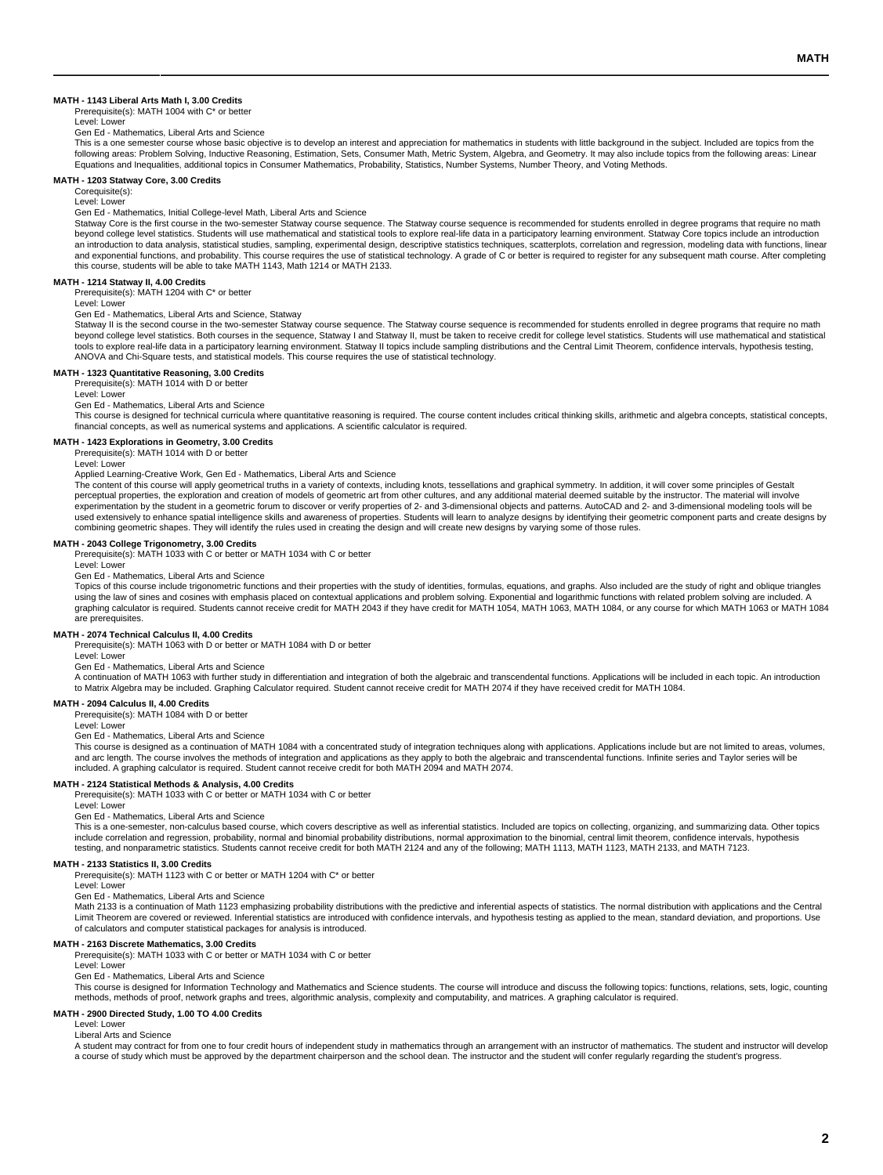#### **MATH - 1143 Liberal Arts Math I, 3.00 Credits**

Prerequisite(s): MATH 1004 with C\* or better Level: Lower

Gen Ed - Mathematics, Liberal Arts and Science

This is a one semester course whose basic objective is to develop an interest and appreciation for mathematics in students with little background in the subject. Included are topics from the<br>following areas: Problem Solvin Equations and Inequalities, additional topics in Consumer Mathematics, Probability, Statistics, Number Systems, Number Theory, and Voting Methods.

### **MATH - 1203 Statway Core, 3.00 Credits**

Corequisite(s): Level: Lower

Gen Ed - Mathematics, Initial College-level Math, Liberal Arts and Science

Statway Core is the first course in the two-semester Statway course sequence. The Statway course sequence is recommended for students enrolled in degree programs that require no math beyond college level statistics. Students will use mathematical and statistical tools to explore real-life data in a participatory learning environment. Statway Core topics include an introduction an introduction to data analysis, statistical studies, sampling, experimental design, descriptive statistics techniques, scatterplots, correlation and regression, modeling data with functions, linear<br>and exponential functi this course, students will be able to take MATH 1143, Math 1214 or MATH 2133.

#### **MATH - 1214 Statway II, 4.00 Credits**

Prerequisite(s): MATH 1204 with C\* or better

Level: Lower

Gen Ed - Mathematics, Liberal Arts and Science, Statway

Statway II is the second course in the two-semester Statway course sequence. The Statway course sequence is recommended for students enrolled in degree programs that require no math beyond college level statistics. Both courses in the sequence, Statway I and Statway II, must be taken to receive credit for college level statistics. Students will use mathematical and statistical tools to explore real-life data in a participatory learning environment. Statway II topics include sampling distributions and the Central Limit Theorem, confidence intervals, hypothesis testing, ANOVA and Chi-Square tests, and statistical models. This course requires the use of statistical technology.

#### **MATH - 1323 Quantitative Reasoning, 3.00 Credits** Prerequisite(s): MATH 1014 with D or better

Level: Lower

Gen Ed - Mathematics, Liberal Arts and Science

This course is designed for technical curricula where quantitative reasoning is required. The course content includes critical thinking skills, arithmetic and algebra concepts, statistical concepts, financial concepts, as well as numerical systems and applications. A scientific calculator is required.

#### **MATH - 1423 Explorations in Geometry, 3.00 Credits** Prerequisite(s): MATH 1014 with D or better

Level: Lower

#### Applied Learning-Creative Work, Gen Ed - Mathematics, Liberal Arts and Science

The content of this course will apply geometrical truths in a variety of contexts, including knots, tessellations and graphical symmetry. In addition, it will cover some principles of Gestalt perceptual properties, the exploration and creation of models of geometric art from other cultures, and any additional material deemed suitable by the instructor. The material will involve<br>experimentation by the student in used extensively to enhance spatial intelligence skills and awareness of properties. Students will learn to analyze designs by identifying their geometric component parts and create designs by combining geometric shapes. They will identify the rules used in creating the design and will create new designs by varying some of those rules.

## **MATH - 2043 College Trigonometry, 3.00 Credits**

Prerequisite(s): MATH 1033 with C or better or MATH 1034 with C or better

Level: Lower

Gen Ed - Mathematics, Liberal Arts and Science

Topics of this course include trigonometric functions and their properties with the study of identities, formulas, equations, and graphs. Also included are the study of right and oblique triangles using the law of sines and cosines with emphasis placed on contextual applications and problem solving. Exponential and logarithmic functions with related problem solving are included. A<br>graphing calculator is required. St are prerequisites.

## **MATH - 2074 Technical Calculus II, 4.00 Credits**

Prerequisite(s): MATH 1063 with D or better or MATH 1084 with D or better

Level: Lower

Gen Ed - Mathematics, Liberal Arts and Science

A continuation of MATH 1063 with further study in differentiation and integration of both the algebraic and transcendental functions. Applications will be included in each topic. An introduction to Matrix Algebra may be included. Graphing Calculator required. Student cannot receive credit for MATH 2074 if they have received credit for MATH 1084.

## **MATH - 2094 Calculus II, 4.00 Credits**

Prerequisite(s): MATH 1084 with D or better

Level: Lower

Gen Ed - Mathematics, Liberal Arts and Science

This course is designed as a continuation of MATH 1084 with a concentrated study of integration techniques along with applications. Applications include but are not limited to areas, volumes, and arc length. The course involves the methods of integration and applications as they apply to both the algebraic and transcendental functions. Infinite series and Taylor series will be<br>included. A graphing calculator is

## **MATH - 2124 Statistical Methods & Analysis, 4.00 Credits**

Prerequisite(s): MATH 1033 with C or better or MATH 1034 with C or better

Level: Lower

Gen Ed - Mathematics, Liberal Arts and Science

This is a one-semester, non-calculus based course, which covers descriptive as well as inferential statistics. Included are topics on collecting, organizing, and summarizing data. Other topics include correlation and regression, probability, normal and binomial probability distributions, normal approximation to the binomial, central limit theorem, confidence intervals, hypothesis testing, and nonparametric statistics. Students cannot receive credit for both MATH 2124 and any of the following; MATH 1113, MATH 1123, MATH 2133, and MATH 7123.

**MATH - 2133 Statistics II, 3.00 Credits** Prerequisite(s): MATH 1123 with C or better or MATH 1204 with C\* or better

Level: Lower

Gen Ed - Mathematics, Liberal Arts and Science

Math 2133 is a continuation of Math 1123 emphasizing probability distributions with the predictive and inferential aspects of statistics. The normal distribution with applications and the Central Limit Theorem are covered or reviewed. Inferential statistics are introduced with confidence intervals, and hypothesis testing as applied to the mean, standard deviation, and proportions. Use of calculators and computer statistical packages for analysis is introduced.

## **MATH - 2163 Discrete Mathematics, 3.00 Credits**

Prerequisite(s): MATH 1033 with C or better or MATH 1034 with C or better

Level: Lower Gen Ed - Mathematics, Liberal Arts and Science

This course is designed for Information Technology and Mathematics and Science students. The course will introduce and discuss the following topics: functions, relations, sets, logic, counting methods, methods of proof, network graphs and trees, algorithmic analysis, complexity and computability, and matrices. A graphing calculator is required.

#### **MATH - 2900 Directed Study, 1.00 TO 4.00 Credits**

Level: Lower Liberal Arts and Science

A student may contract for from one to four credit hours of independent study in mathematics through an arrangement with an instructor of mathematics. The student and instructor will develop a course of study which must be approved by the department chairperson and the school dean. The instructor and the student will confer regularly regarding the student's progress.